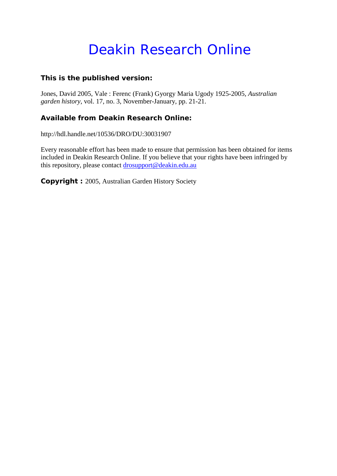## Deakin Research Online

## **This is the published version:**

Jones, David 2005, Vale : Ferenc (Frank) Gyorgy Maria Ugody 1925-2005*, Australian garden history*, vol. 17, no. 3, November-January, pp. 21-21.

## **Available from Deakin Research Online:**

http://hdl.handle.net/10536/DRO/DU:30031907

Every reasonable effort has been made to ensure that permission has been obtained for items included in Deakin Research Online. If you believe that your rights have been infringed by this repository, please contact [drosupport@deakin.edu.au](mailto:drosupport@deakin.edu.au)

**Copyright :** 2005, Australian Garden History Society